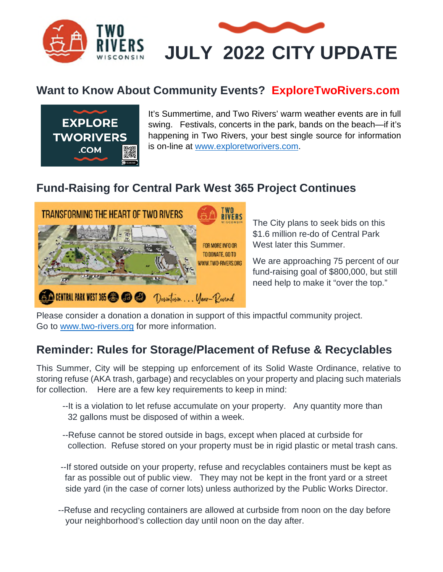

## **Want to Know About Community Events? ExploreTwoRivers.com**



It's Summertime, and Two Rivers' warm weather events are in full swing. Festivals, concerts in the park, bands on the beach—if it's happening in Two Rivers, your best single source for information is on-line at www.exploretworivers.com.

## **Fund-Raising for Central Park West 365 Project Continues**



The City plans to seek bids on this \$1.6 million re-do of Central Park West later this Summer.

We are approaching 75 percent of our fund-raising goal of \$800,000, but still need help to make it "over the top."

Please consider a donation a donation in support of this impactful community project. Go to www.two-rivers.org for more information.

## **Reminder: Rules for Storage/Placement of Refuse & Recyclables**

This Summer, City will be stepping up enforcement of its Solid Waste Ordinance, relative to storing refuse (AKA trash, garbage) and recyclables on your property and placing such materials for collection. Here are a few key requirements to keep in mind:

- --It is a violation to let refuse accumulate on your property. Any quantity more than 32 gallons must be disposed of within a week.
- --Refuse cannot be stored outside in bags, except when placed at curbside for collection. Refuse stored on your property must be in rigid plastic or metal trash cans.
- --If stored outside on your property, refuse and recyclables containers must be kept as far as possible out of public view. They may not be kept in the front yard or a street side yard (in the case of corner lots) unless authorized by the Public Works Director.
- --Refuse and recycling containers are allowed at curbside from noon on the day before your neighborhood's collection day until noon on the day after.